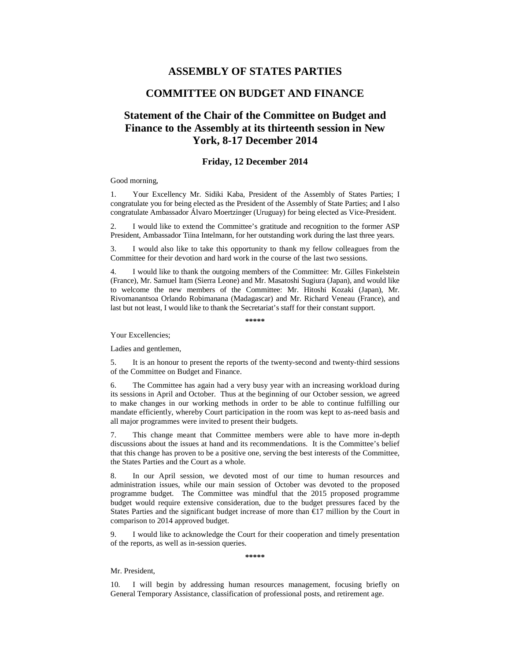## **ASSEMBLY OF STATES PARTIES**

# **COMMITTEE ON BUDGET AND FINANCE**

# **Statement of the Chair of the Committee on Budget and Finance to the Assembly at its thirteenth session in New York, 8-17 December 2014**

### **Friday, 12 December 2014**

### Good morning,

1. Your Excellency Mr. Sidiki Kaba, President of the Assembly of States Parties; I congratulate you for being elected as the President of the Assembly of State Parties; and I also congratulate Ambassador Álvaro Moertzinger (Uruguay) for being elected as Vice-President.

2. I would like to extend the Committee's gratitude and recognition to the former ASP President, Ambassador Tiina Intelmann, for her outstanding work during the last three years.

3. I would also like to take this opportunity to thank my fellow colleagues from the Committee for their devotion and hard work in the course of the last two sessions.

4. I would like to thank the outgoing members of the Committee: Mr. Gilles Finkelstein (France), Mr. Samuel Itam (Sierra Leone) and Mr. Masatoshi Sugiura (Japan), and would like to welcome the new members of the Committee: Mr. Hitoshi Kozaki (Japan), Mr. Rivomanantsoa Orlando Robimanana (Madagascar) and Mr. Richard Veneau (France), and last but not least, I would like to thank the Secretariat's staff for their constant support.

**\*\*\*\*\*** 

Your Excellencies;

Ladies and gentlemen,

5. It is an honour to present the reports of the twenty-second and twenty-third sessions of the Committee on Budget and Finance.

6. The Committee has again had a very busy year with an increasing workload during its sessions in April and October. Thus at the beginning of our October session, we agreed to make changes in our working methods in order to be able to continue fulfilling our mandate efficiently, whereby Court participation in the room was kept to as-need basis and all major programmes were invited to present their budgets.

7. This change meant that Committee members were able to have more in-depth discussions about the issues at hand and its recommendations. It is the Committee's belief that this change has proven to be a positive one, serving the best interests of the Committee, the States Parties and the Court as a whole.

8. In our April session, we devoted most of our time to human resources and administration issues, while our main session of October was devoted to the proposed programme budget. The Committee was mindful that the 2015 proposed programme budget would require extensive consideration, due to the budget pressures faced by the States Parties and the significant budget increase of more than €17 million by the Court in comparison to 2014 approved budget.

9. I would like to acknowledge the Court for their cooperation and timely presentation of the reports, as well as in-session queries.

**\*\*\*\*\*** 

#### Mr. President,

10. I will begin by addressing human resources management, focusing briefly on General Temporary Assistance, classification of professional posts, and retirement age.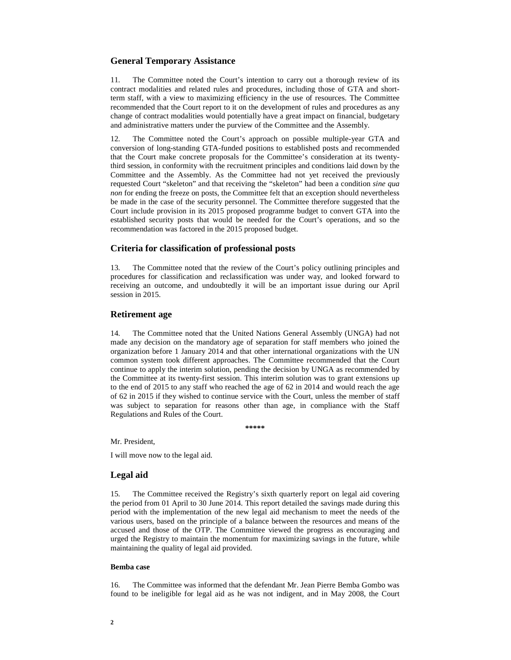### **General Temporary Assistance**

11. The Committee noted the Court's intention to carry out a thorough review of its contract modalities and related rules and procedures, including those of GTA and shortterm staff, with a view to maximizing efficiency in the use of resources. The Committee recommended that the Court report to it on the development of rules and procedures as any change of contract modalities would potentially have a great impact on financial, budgetary and administrative matters under the purview of the Committee and the Assembly.

12. The Committee noted the Court's approach on possible multiple-year GTA and conversion of long-standing GTA-funded positions to established posts and recommended that the Court make concrete proposals for the Committee's consideration at its twentythird session, in conformity with the recruitment principles and conditions laid down by the Committee and the Assembly. As the Committee had not yet received the previously requested Court "skeleton" and that receiving the "skeleton" had been a condition *sine qua non* for ending the freeze on posts, the Committee felt that an exception should nevertheless be made in the case of the security personnel. The Committee therefore suggested that the Court include provision in its 2015 proposed programme budget to convert GTA into the established security posts that would be needed for the Court's operations, and so the recommendation was factored in the 2015 proposed budget.

### **Criteria for classification of professional posts**

13. The Committee noted that the review of the Court's policy outlining principles and procedures for classification and reclassification was under way, and looked forward to receiving an outcome, and undoubtedly it will be an important issue during our April session in 2015.

### **Retirement age**

14. The Committee noted that the United Nations General Assembly (UNGA) had not made any decision on the mandatory age of separation for staff members who joined the organization before 1 January 2014 and that other international organizations with the UN common system took different approaches. The Committee recommended that the Court continue to apply the interim solution, pending the decision by UNGA as recommended by the Committee at its twenty-first session. This interim solution was to grant extensions up to the end of 2015 to any staff who reached the age of 62 in 2014 and would reach the age of 62 in 2015 if they wished to continue service with the Court, unless the member of staff was subject to separation for reasons other than age, in compliance with the Staff Regulations and Rules of the Court.

**\*\*\*\*\*** 

Mr. President,

I will move now to the legal aid.

#### **Legal aid**

15. The Committee received the Registry's sixth quarterly report on legal aid covering the period from 01 April to 30 June 2014. This report detailed the savings made during this period with the implementation of the new legal aid mechanism to meet the needs of the various users, based on the principle of a balance between the resources and means of the accused and those of the OTP. The Committee viewed the progress as encouraging and urged the Registry to maintain the momentum for maximizing savings in the future, while maintaining the quality of legal aid provided.

### **Bemba case**

16. The Committee was informed that the defendant Mr. Jean Pierre Bemba Gombo was found to be ineligible for legal aid as he was not indigent, and in May 2008, the Court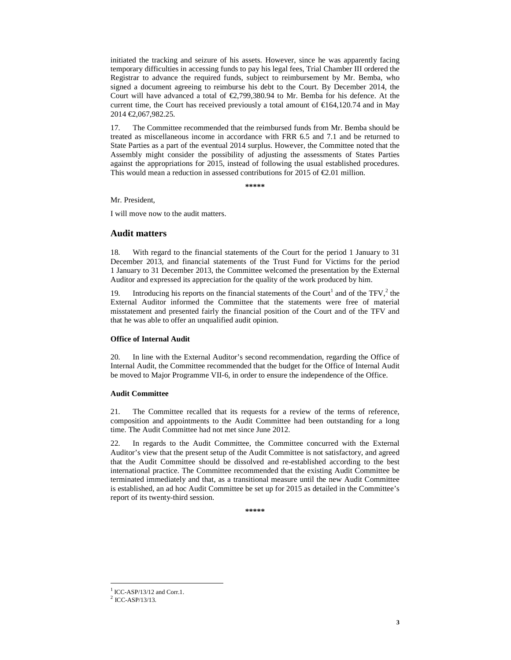initiated the tracking and seizure of his assets. However, since he was apparently facing temporary difficulties in accessing funds to pay his legal fees, Trial Chamber III ordered the Registrar to advance the required funds, subject to reimbursement by Mr. Bemba, who signed a document agreeing to reimburse his debt to the Court. By December 2014, the Court will have advanced a total of  $\epsilon$ 2,799,380.94 to Mr. Bemba for his defence. At the current time, the Court has received previously a total amount of  $\epsilon$ 164,120.74 and in May 2014 €2,067,982.25.

17. The Committee recommended that the reimbursed funds from Mr. Bemba should be treated as miscellaneous income in accordance with FRR 6.5 and 7.1 and be returned to State Parties as a part of the eventual 2014 surplus. However, the Committee noted that the Assembly might consider the possibility of adjusting the assessments of States Parties against the appropriations for 2015, instead of following the usual established procedures. This would mean a reduction in assessed contributions for 2015 of  $\epsilon$ 2.01 million.

**\*\*\*\*\*** 

Mr. President,

I will move now to the audit matters.

### **Audit matters**

18. With regard to the financial statements of the Court for the period 1 January to 31 December 2013, and financial statements of the Trust Fund for Victims for the period 1 January to 31 December 2013, the Committee welcomed the presentation by the External Auditor and expressed its appreciation for the quality of the work produced by him.

19. Introducing his reports on the financial statements of the Court<sup>1</sup> and of the TFV, $2$ <sup>2</sup> the External Auditor informed the Committee that the statements were free of material misstatement and presented fairly the financial position of the Court and of the TFV and that he was able to offer an unqualified audit opinion.

#### **Office of Internal Audit**

20. In line with the External Auditor's second recommendation, regarding the Office of Internal Audit, the Committee recommended that the budget for the Office of Internal Audit be moved to Major Programme VII-6, in order to ensure the independence of the Office.

#### **Audit Committee**

21. The Committee recalled that its requests for a review of the terms of reference, composition and appointments to the Audit Committee had been outstanding for a long time. The Audit Committee had not met since June 2012.

22. In regards to the Audit Committee, the Committee concurred with the External Auditor's view that the present setup of the Audit Committee is not satisfactory, and agreed that the Audit Committee should be dissolved and re-established according to the best international practice. The Committee recommended that the existing Audit Committee be terminated immediately and that, as a transitional measure until the new Audit Committee is established, an ad hoc Audit Committee be set up for 2015 as detailed in the Committee's report of its twenty-third session.

**\*\*\*\*\*** 

 $\overline{a}$ 

 $1$  ICC-ASP/13/12 and Corr.1.

 $^{2}$  ICC-ASP/13/13.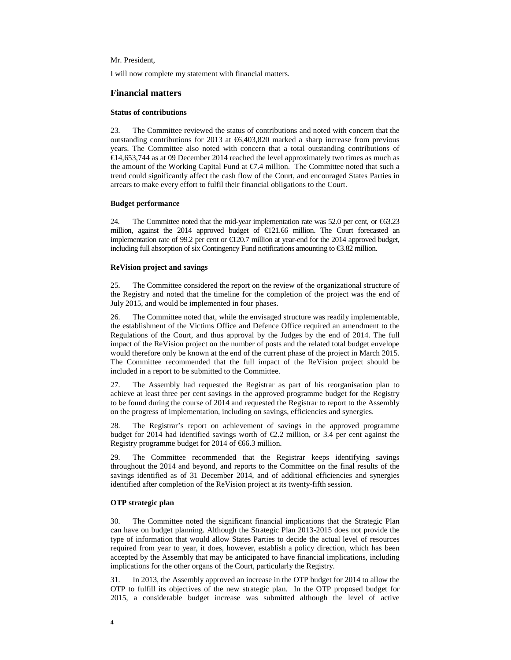### Mr. President,

I will now complete my statement with financial matters.

### **Financial matters**

#### **Status of contributions**

23. The Committee reviewed the status of contributions and noted with concern that the outstanding contributions for 2013 at  $\epsilon$ 6,403,820 marked a sharp increase from previous years. The Committee also noted with concern that a total outstanding contributions of  $€14,653,744$  as at 09 December 2014 reached the level approximately two times as much as the amount of the Working Capital Fund at €7.4 million. The Committee noted that such a trend could significantly affect the cash flow of the Court, and encouraged States Parties in arrears to make every effort to fulfil their financial obligations to the Court.

#### **Budget performance**

24. The Committee noted that the mid-year implementation rate was 52.0 per cent, or  $\epsilon$ 63.23 million, against the 2014 approved budget of  $E121.66$  million. The Court forecasted an implementation rate of 99.2 per cent or  $\epsilon$ 120.7 millon at year-end for the 2014 approved budget, including full absorption of six Contingency Fund notifications amounting to €3.82 million.

### **ReVision project and savings**

25. The Committee considered the report on the review of the organizational structure of the Registry and noted that the timeline for the completion of the project was the end of July 2015, and would be implemented in four phases.

26. The Committee noted that, while the envisaged structure was readily implementable, the establishment of the Victims Office and Defence Office required an amendment to the Regulations of the Court, and thus approval by the Judges by the end of 2014. The full impact of the ReVision project on the number of posts and the related total budget envelope would therefore only be known at the end of the current phase of the project in March 2015. The Committee recommended that the full impact of the ReVision project should be included in a report to be submitted to the Committee.

27. The Assembly had requested the Registrar as part of his reorganisation plan to achieve at least three per cent savings in the approved programme budget for the Registry to be found during the course of 2014 and requested the Registrar to report to the Assembly on the progress of implementation, including on savings, efficiencies and synergies.

28. The Registrar's report on achievement of savings in the approved programme budget for 2014 had identified savings worth of  $\epsilon$ 22 million, or 3.4 per cent against the Registry programme budget for 2014 of €66.3 million.

29. The Committee recommended that the Registrar keeps identifying savings throughout the 2014 and beyond, and reports to the Committee on the final results of the savings identified as of 31 December 2014, and of additional efficiencies and synergies identified after completion of the ReVision project at its twenty-fifth session.

### **OTP strategic plan**

30. The Committee noted the significant financial implications that the Strategic Plan can have on budget planning. Although the Strategic Plan 2013-2015 does not provide the type of information that would allow States Parties to decide the actual level of resources required from year to year, it does, however, establish a policy direction, which has been accepted by the Assembly that may be anticipated to have financial implications, including implications for the other organs of the Court, particularly the Registry.

31. In 2013, the Assembly approved an increase in the OTP budget for 2014 to allow the OTP to fulfill its objectives of the new strategic plan. In the OTP proposed budget for 2015, a considerable budget increase was submitted although the level of active